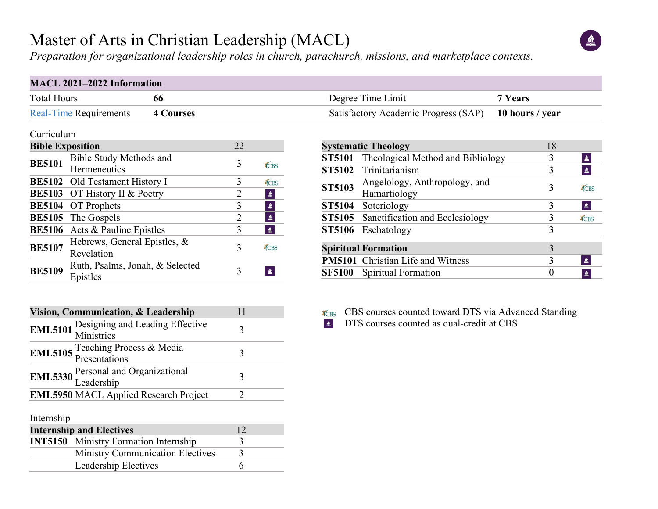# Master of Arts in Christian Leadership (MACL)

 $\triangleq$ 

*Preparation for organizational leadership roles in church, parachurch, missions, and marketplace contexts.*

### **MACL 2021–2022 Information**

| <b>Total Hours</b><br>66 |                                                   |                | Degree Time Limit | 7 Years                                            |                  |  |
|--------------------------|---------------------------------------------------|----------------|-------------------|----------------------------------------------------|------------------|--|
|                          | <b>Real-Time Requirements</b><br><b>4 Courses</b> |                |                   | Satisfactory Academic Progress (SAP)               | 10 hours / year  |  |
| Curriculum               |                                                   |                |                   |                                                    |                  |  |
| <b>Bible Exposition</b>  |                                                   | 22             |                   | <b>Systematic Theology</b>                         | 18               |  |
|                          | <b>Bible Study Methods and</b>                    |                |                   | Theological Method and Bibliology<br><b>ST5101</b> | 3                |  |
| <b>BE5101</b>            | <b>Hermeneutics</b>                               | 3              | TCBS              | Trinitarianism<br><b>ST5102</b>                    | 3                |  |
|                          | <b>BE5102</b> Old Testament History I             | 3              | TCBS              | Angelology, Anthropology, and<br><b>ST5103</b>     | 3                |  |
|                          | <b>BE5103</b> OT History II & Poetry              |                | $\triangle$       | Hamartiology                                       |                  |  |
|                          | <b>BE5104</b> OT Prophets                         | 3              | $\triangleq$      | Soteriology<br><b>ST5104</b>                       | 3                |  |
|                          | <b>BE5105</b> The Gospels                         | $\overline{2}$ | $\triangleq$      | <b>ST5105</b> Sanctification and Ecclesiology      | 3                |  |
|                          | <b>BE5106</b> Acts & Pauline Epistles             | $\overline{3}$ | $\triangleq$      | ST5106 Eschatology                                 | 3                |  |
| <b>BE5107</b>            | Hebrews, General Epistles, &<br>Revelation        | 3              | TCBS              | <b>Spiritual Formation</b>                         | 3                |  |
|                          | Ruth, Psalms, Jonah, & Selected                   |                |                   | <b>PM5101</b> Christian Life and Witness           | 3                |  |
| <b>BE5109</b>            | Epistles                                          | 3              | $\triangle$       | Spiritual Formation<br><b>SF5100</b>               | $\boldsymbol{0}$ |  |

| Vision, Communication, & Leadership | 11                                                           |   |
|-------------------------------------|--------------------------------------------------------------|---|
|                                     | <b>EML5101</b> Designing and Leading Effective<br>Ministries | 3 |
|                                     | <b>EML5105</b> Teaching Process & Media<br>Presentations     |   |
|                                     | <b>EML5330</b> Personal and Organizational<br>Leadership     | 3 |
|                                     | <b>EML5950 MACL Applied Research Project</b>                 |   |
| Jetomo chies                        |                                                              |   |

| merusinp                                     |  |
|----------------------------------------------|--|
| <b>Internship and Electives</b>              |  |
| <b>INT5150</b> Ministry Formation Internship |  |
| <b>Ministry Communication Electives</b>      |  |
| Leadership Electives                         |  |

|               | <b>SF5100</b> Spiritual Formation        | $\mathbf{0}$ | ≝    |
|---------------|------------------------------------------|--------------|------|
|               | <b>PM5101</b> Christian Life and Witness | 3            | 鱼    |
|               | <b>Spiritual Formation</b>               |              |      |
|               | ST5106 Eschatology                       | 3            |      |
|               | ST5105 Sanctification and Ecclesiology   | 3            | TCBS |
| <b>ST5104</b> | Soteriology                              | 3            | 鱼    |
| <b>ST5103</b> | Hamartiology                             | 3            | TCBS |
|               | Angelology, Anthropology, and            |              |      |
|               | ST5102 Trinitarianism                    |              | 鱼    |

- TCBS CBS courses counted toward DTS via Advanced Standing
- DTS courses counted as dual-credit at CBS  $\mathbf{a}$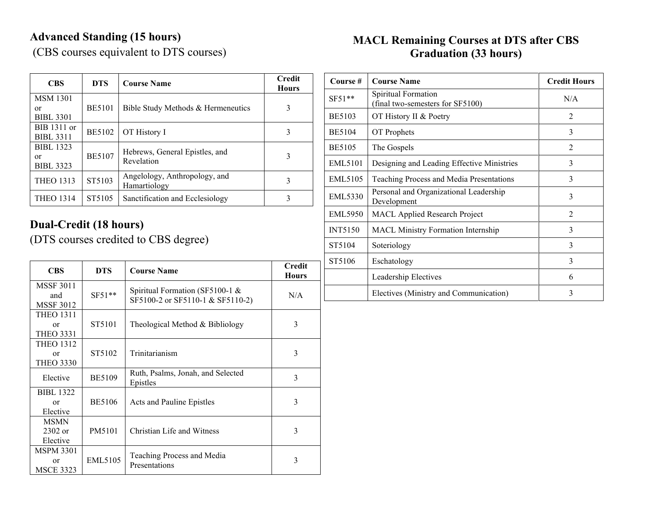# **Advanced Standing (15 hours)**

(CBS courses equivalent to DTS courses)

#### **MACL Remaining Courses at DTS after CBS Graduation (33 hours)**

| <b>CBS</b>                                 | <b>DTS</b>    | <b>Course Name</b>                            | <b>Credit</b><br><b>Hours</b> |
|--------------------------------------------|---------------|-----------------------------------------------|-------------------------------|
| <b>MSM</b> 1301<br>or<br><b>BIBL 3301</b>  | <b>BE5101</b> | Bible Study Methods & Hermeneutics            | 3                             |
| BIB 1311 or<br><b>BIBL 3311</b>            | <b>BE5102</b> | OT History I                                  |                               |
| <b>BIBL 1323</b><br>or<br><b>BIBL 3323</b> | <b>BE5107</b> | Hebrews, General Epistles, and<br>Revelation  | 3                             |
| <b>THEO 1313</b>                           | ST5103        | Angelology, Anthropology, and<br>Hamartiology |                               |
| <b>THEO 1314</b>                           | ST5105        | Sanctification and Ecclesiology               |                               |

## **Dual-Credit (18 hours)**

(DTS courses credited to CBS degree)

| <b>CBS</b>                                       | <b>DTS</b>    | <b>Course Name</b>                                                  | <b>Credit</b><br><b>Hours</b> |
|--------------------------------------------------|---------------|---------------------------------------------------------------------|-------------------------------|
| <b>MSSF 3011</b><br>and<br><b>MSSF 3012</b>      | $SF51**$      | Spiritual Formation (SF5100-1 &<br>SF5100-2 or SF5110-1 & SF5110-2) | N/A                           |
| <b>THEO 1311</b><br>$\alpha$<br><b>THEO 3331</b> | ST5101        | Theological Method & Bibliology                                     | 3                             |
| <b>THEO 1312</b><br>or<br><b>THEO 3330</b>       | ST5102        | Trinitarianism                                                      | 3                             |
| Elective                                         | <b>BE5109</b> | Ruth, Psalms, Jonah, and Selected<br>Epistles                       | 3                             |
| <b>BIBL 1322</b><br>$\alpha$ r<br>Elective       | <b>BE5106</b> | Acts and Pauline Epistles                                           | 3                             |
| <b>MSMN</b><br>$2302$ or<br>Elective             | PM5101        | Christian Life and Witness                                          | 3                             |
| <b>MSPM 3301</b><br>or<br><b>MSCE 3323</b>       | EML5105       | Teaching Process and Media<br>Presentations                         | 3                             |

| Course #       | <b>Course Name</b>                                      | <b>Credit Hours</b> |
|----------------|---------------------------------------------------------|---------------------|
| $SF51**$       | Spiritual Formation<br>(final two-semesters for SF5100) | N/A                 |
| <b>BE5103</b>  | OT History II & Poetry                                  | $\mathfrak{D}$      |
| <b>BE5104</b>  | OT Prophets                                             | 3                   |
| <b>BE5105</b>  | The Gospels                                             | $\overline{2}$      |
| <b>EML5101</b> | Designing and Leading Effective Ministries              | 3                   |
| <b>EML5105</b> | Teaching Process and Media Presentations                | 3                   |
| <b>EML5330</b> | Personal and Organizational Leadership<br>Development   | 3                   |
| <b>EML5950</b> | <b>MACL Applied Research Project</b>                    | $\mathfrak{D}$      |
| <b>INT5150</b> | <b>MACL Ministry Formation Internship</b>               | 3                   |
| ST5104         | Soteriology                                             | 3                   |
| ST5106         | Eschatology                                             | 3                   |
|                | Leadership Electives                                    | 6                   |
|                | Electives (Ministry and Communication)                  | 3                   |